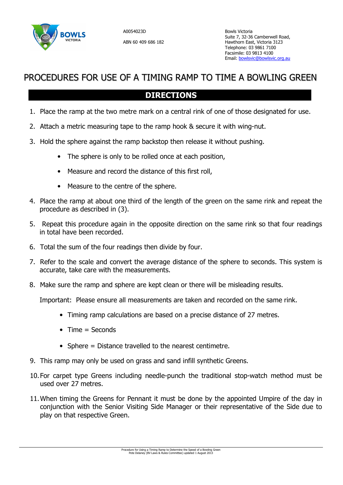

## PROCEDURES FOR USE OF A TIMING RAMP TO TIME A BOWLING GREEN

## **DIRECTIONS**

- 1. Place the ramp at the two metre mark on a central rink of one of those designated for use.
- 2. Attach a metric measuring tape to the ramp hook & secure it with wing-nut.
- 3. Hold the sphere against the ramp backstop then release it without pushing.
	- The sphere is only to be rolled once at each position,
	- Measure and record the distance of this first roll,
	- Measure to the centre of the sphere.
- 4. Place the ramp at about one third of the length of the green on the same rink and repeat the procedure as described in (3).
- 5. Repeat this procedure again in the opposite direction on the same rink so that four readings in total have been recorded.
- 6. Total the sum of the four readings then divide by four.
- 7. Refer to the scale and convert the average distance of the sphere to seconds. This system is accurate, take care with the measurements.
- 8. Make sure the ramp and sphere are kept clean or there will be misleading results.

Important: Please ensure all measurements are taken and recorded on the same rink.

- Timing ramp calculations are based on a precise distance of 27 metres.
- $\bullet$  Time = Seconds
- Sphere = Distance travelled to the nearest centimetre.
- 9. This ramp may only be used on grass and sand infill synthetic Greens.
- 10. For carpet type Greens including needle-punch the traditional stop-watch method must be used over 27 metres.
- 11. When timing the Greens for Pennant it must be done by the appointed Umpire of the day in conjunction with the Senior Visiting Side Manager or their representative of the Side due to play on that respective Green.